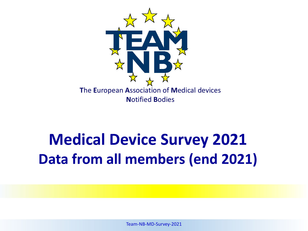

# **Medical Device Survey 2021 Data from all members (end 2021)**

Team-NB-MD-Survey-2021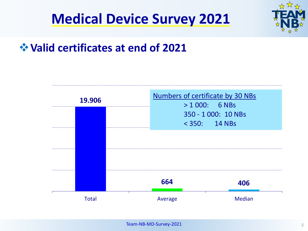



## **Valid certificates at end of 2021**

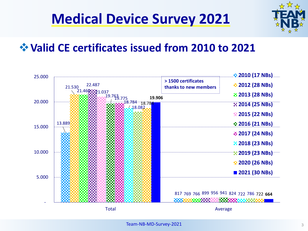



## **Valid CE certificates issued from 2010 to 2021**

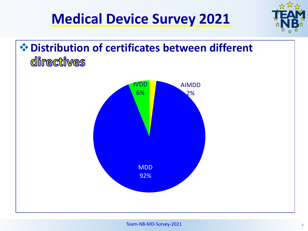



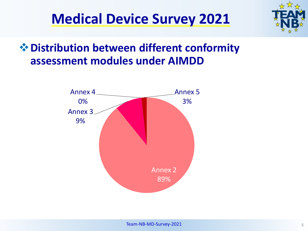



# **Distribution between different conformity assessment modules under AIMDD**

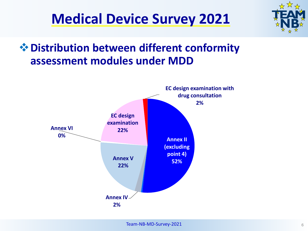



## **Distribution between different conformity assessment modules under MDD**

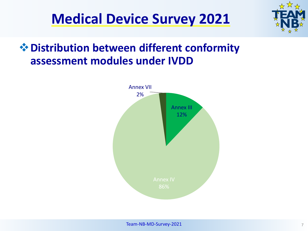



# **Distribution between different conformity assessment modules under IVDD**

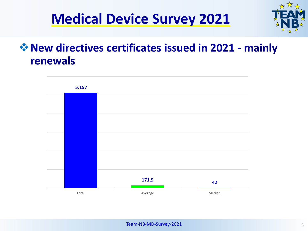



## **New directives certificates issued in 2021 - mainly renewals**

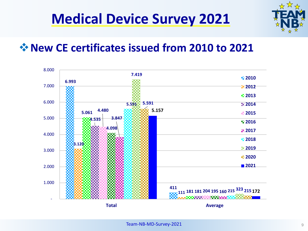

#### **New CE certificates issued from 2010 to 2021**

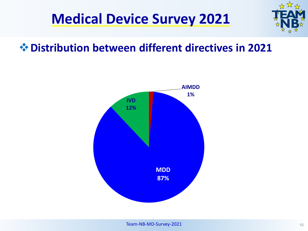



#### **Distribution between different directives in 2021**

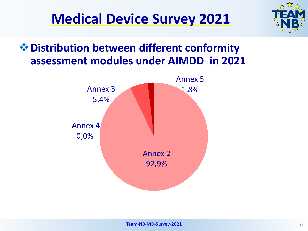



## **Distribution between different conformity assessment modules under AIMDD in 2021**

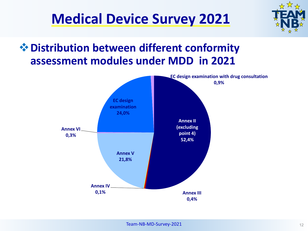

## **Distribution between different conformity assessment modules under MDD in 2021**

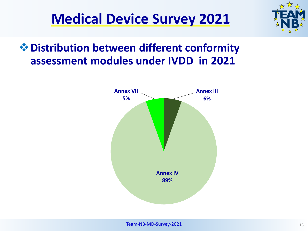



# **Distribution between different conformity assessment modules under IVDD in 2021**

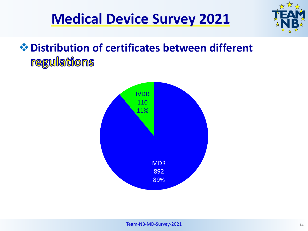

# **Distribution of certificates between different** regulations

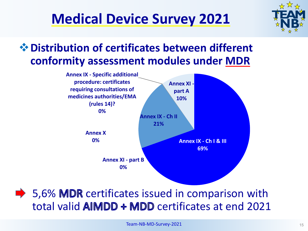

## **Distribution of certificates between different conformity assessment modules under MDR**



 $\rightarrow$  5,6% MDR certificates issued in comparison with total valid  $\triangle$  MDD  $\triangle$  MDD certificates at end 2021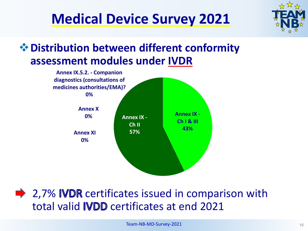

## **Distribution between different conformity assessment modules under IVDR**



 $\rightarrow$  2,7% IVDR certificates issued in comparison with total valid **IVDD** certificates at end 2021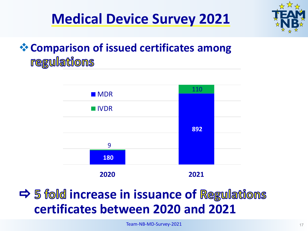

# **Comparison of issued certificates among** regulations



# $\Rightarrow$  **5 fold increase in issuance of Regulations certificates between 2020 and 2021**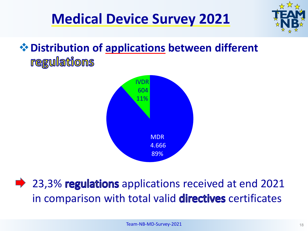



# **Distribution of applications between different** regulations



 $\rightarrow$  23,3% regulations applications received at end 2021 in comparison with total valid directives certificates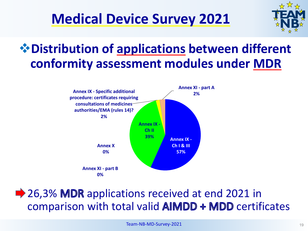

# **Distribution of applications between different conformity assessment modules under MDR**



## **→ 26,3% MDR** applications received at end 2021 in comparison with total valid  $\mathbb{A} \mathbb{M} \mathbb{D} \mathbb{D}$  ertificates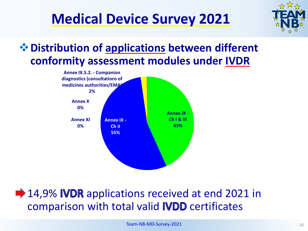

## **Distribution of applications between different conformity assessment modules under IVDR**



## **■ 14,9% IVDR** applications received at end 2021 in comparison with total valid IVDD certificates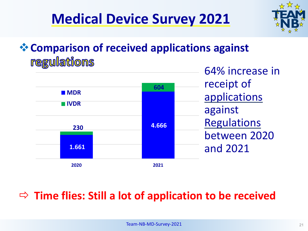



# **Comparison of received applications against** regulations



## **Time flies: Still a lot of application to be received**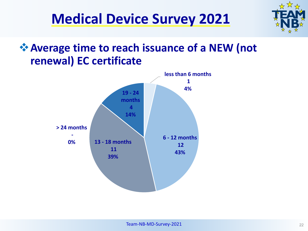



## **Average time to reach issuance of a NEW (not renewal) EC certificate**

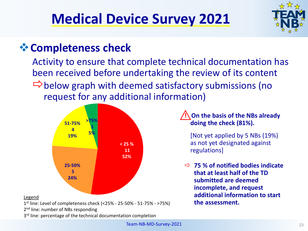

# **☆ Completeness check**

Activity to ensure that complete technical documentation has been received before undertaking the review of its content  $\Rightarrow$  below graph with deemed satisfactory submissions (no request for any additional information)



#### Legend

1st line: Level of completeness check (<25% - 25-50% - 51-75% - >75%)

2<sup>nd</sup> line: number of NBs responding

3<sup>rd</sup> line: percentage of the technical documentation completion

**! On the basis of the NBs already doing the check (81%).**

[Not yet applied by 5 NBs (19%) as not yet designated against regulations]

 **75 % of notified bodies indicate that at least half of the TD submitted are deemed incomplete, and request additional information to start the assessment.**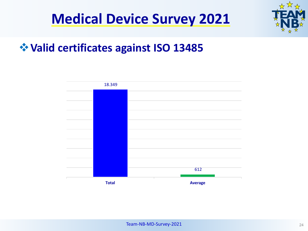

## **Valid certificates against ISO 13485**

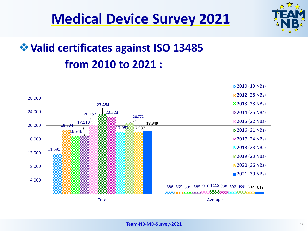

# **Valid certificates against ISO 13485 from 2010 to 2021 :**

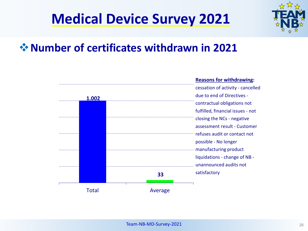

## **Number of certificates withdrawn in 2021**

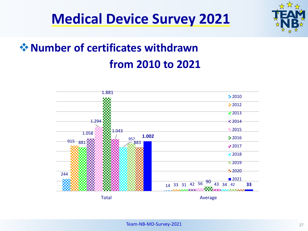



# **☆ Number of certificates withdrawn from 2010 to 2021**

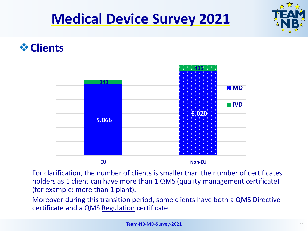

#### **Clients**



For clarification, the number of clients is smaller than the number of certificates holders as 1 client can have more than 1 QMS (quality management certificate) (for example: more than 1 plant).

Moreover during this transition period, some clients have both a QMS Directive certificate and a QMS Regulation certificate.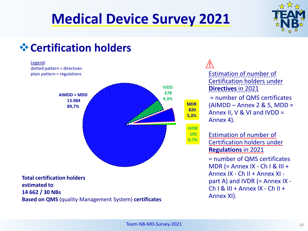![](_page_28_Picture_1.jpeg)

## **Certification holders**

![](_page_28_Figure_3.jpeg)

**Based on QMS** (quality Management System) **certificates**

**!**  Estimation of number of Certification holders under **Directives** in 2021 = number of QMS certificates (AIMDD – Annex 2 & 5, MDD = Annex II, V & VI and IVDD = Annex 4). Estimation of number of

Certification holders under **Regulations** in 2021 = number of QMS certificates MDR (= Annex  $IX - Ch I & III +$ Annex IX - Ch II + Annex XI part A) and IVDR (= Annex IX -  $Ch I & III + Annex IX - Ch II +$ Annex XI).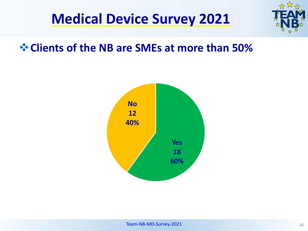![](_page_29_Picture_0.jpeg)

#### **Clients of the NB are SMEs at more than 50%**

![](_page_29_Figure_3.jpeg)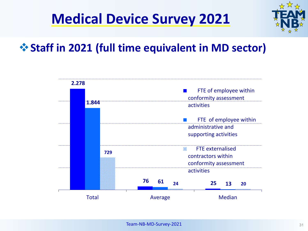![](_page_30_Picture_1.jpeg)

# **Staff in 2021 (full time equivalent in MD sector)**

![](_page_30_Figure_3.jpeg)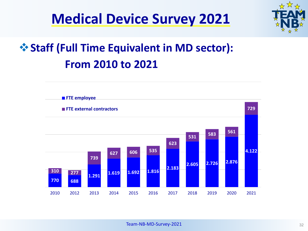![](_page_31_Picture_0.jpeg)

![](_page_31_Picture_1.jpeg)

# **Staff (Full Time Equivalent in MD sector): From 2010 to 2021**

![](_page_31_Figure_3.jpeg)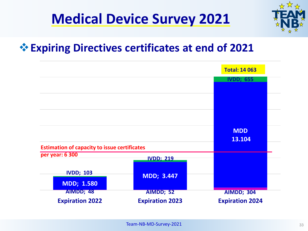![](_page_32_Picture_0.jpeg)

#### **Expiring Directives certificates at end of 2021**

|                                                     |                        | <b>Total: 14 063</b>   |
|-----------------------------------------------------|------------------------|------------------------|
|                                                     |                        | <b>IVDD; 655</b>       |
|                                                     |                        |                        |
|                                                     |                        |                        |
|                                                     |                        |                        |
|                                                     |                        | <b>MDD</b><br>13.104   |
| <b>Estimation of capacity to issue certificates</b> |                        |                        |
| per year: 6 300                                     | <b>IVDD; 219</b>       |                        |
| <b>IVDD; 103</b>                                    | <b>MDD; 3.447</b>      |                        |
| <b>MDD; 1.580</b>                                   |                        |                        |
| AIMDD; 48                                           | AIMDD; 52              | <b>AIMDD; 304</b>      |
| <b>Expiration 2022</b>                              | <b>Expiration 2023</b> | <b>Expiration 2024</b> |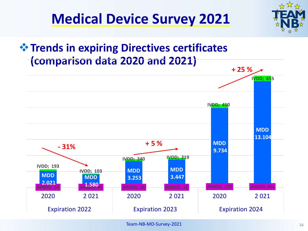![](_page_33_Picture_1.jpeg)

# *<u><b>* Trends in expiring Directives certificates</u> **(comparison data 2020 and 2021)**

![](_page_33_Figure_3.jpeg)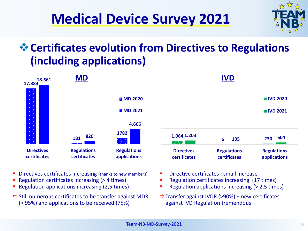![](_page_34_Picture_0.jpeg)

![](_page_34_Picture_1.jpeg)

# **Certificates evolution from Directives to Regulations (including applications)**

![](_page_34_Figure_3.jpeg)

- **Directives certificates increasing (thanks to new members)**
- Regulation certificates increasing (> 4 times)
- **Regulation applications increasing (2,5 times)**
- $\Rightarrow$  Still numerous certificates to be transfer against MDR (> 95%) and applications to be received (75%)
- Directive certificates : small increase
- Regulation certificates increasing (17 times)
- Regulation applications increasing (> 2,5 times)
- $\Rightarrow$  Transfer against IVDR (>90%) + new certificates against IVD Regulation tremendous